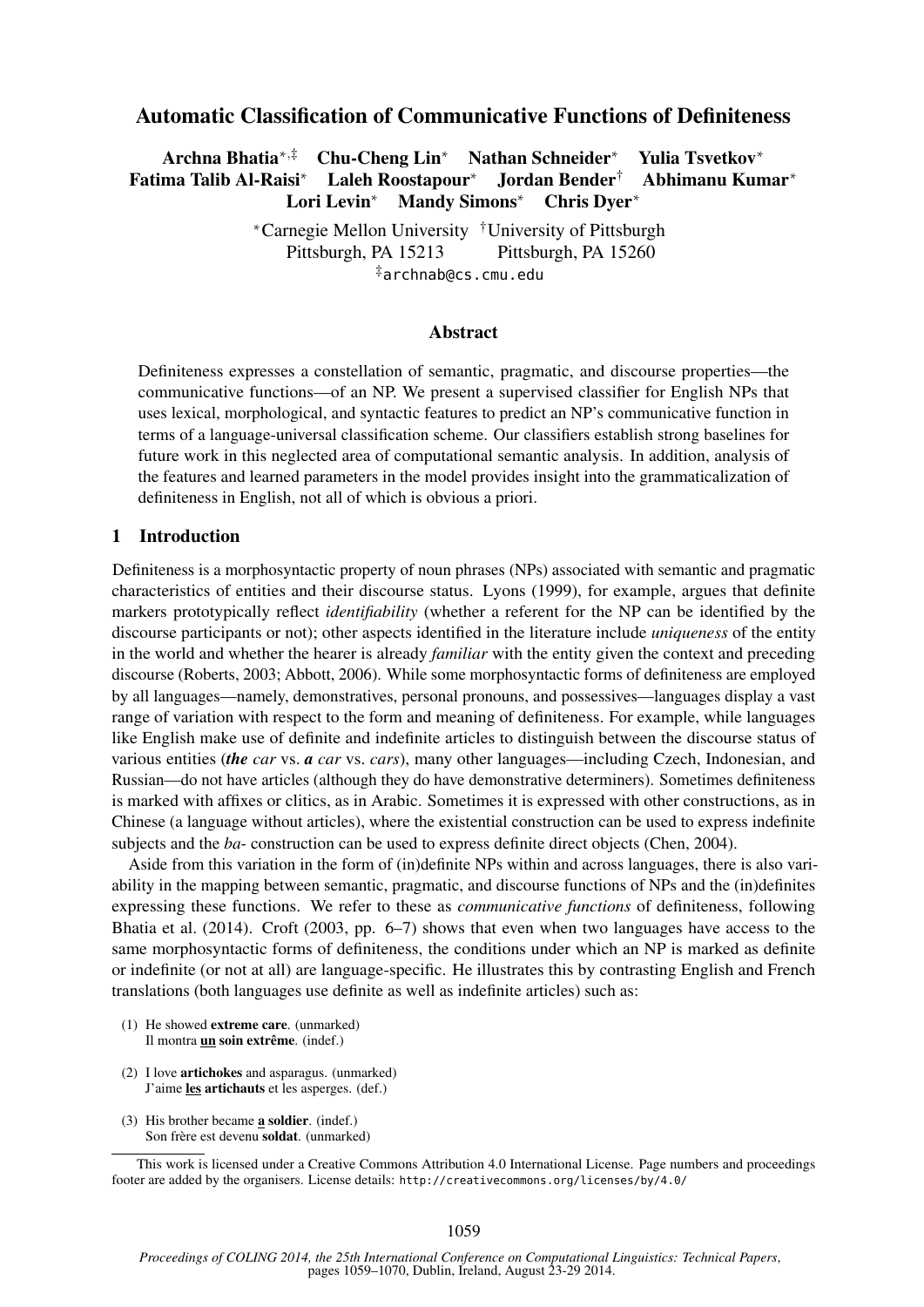# Automatic Classification of Communicative Functions of Definiteness

Archna Bhatia∗,‡ Chu-Cheng Lin<sup>∗</sup> Nathan Schneider<sup>∗</sup> Yulia Tsvetkov<sup>∗</sup> Fatima Talib Al-Raisi<sup>∗</sup> Laleh Roostapour<sup>∗</sup> Jordan Bender† Abhimanu Kumar<sup>∗</sup> Lori Levin<sup>∗</sup> Mandy Simons<sup>∗</sup> Chris Dyer<sup>∗</sup>

> <sup>∗</sup>Carnegie Mellon University †University of Pittsburgh Pittsburgh, PA 15213 Pittsburgh, PA 15260 ‡archnab@cs.cmu.edu

### Abstract

Definiteness expresses a constellation of semantic, pragmatic, and discourse properties—the communicative functions—of an NP. We present a supervised classifier for English NPs that uses lexical, morphological, and syntactic features to predict an NP's communicative function in terms of a language-universal classification scheme. Our classifiers establish strong baselines for future work in this neglected area of computational semantic analysis. In addition, analysis of the features and learned parameters in the model provides insight into the grammaticalization of definiteness in English, not all of which is obvious a priori.

### 1 Introduction

Definiteness is a morphosyntactic property of noun phrases (NPs) associated with semantic and pragmatic characteristics of entities and their discourse status. Lyons (1999), for example, argues that definite markers prototypically reflect *identifiability* (whether a referent for the NP can be identified by the discourse participants or not); other aspects identified in the literature include *uniqueness* of the entity in the world and whether the hearer is already *familiar* with the entity given the context and preceding discourse (Roberts, 2003; Abbott, 2006). While some morphosyntactic forms of definiteness are employed by all languages—namely, demonstratives, personal pronouns, and possessives—languages display a vast range of variation with respect to the form and meaning of definiteness. For example, while languages like English make use of definite and indefinite articles to distinguish between the discourse status of various entities (*the car* vs. *a car* vs. *cars*), many other languages—including Czech, Indonesian, and Russian—do not have articles (although they do have demonstrative determiners). Sometimes definiteness is marked with affixes or clitics, as in Arabic. Sometimes it is expressed with other constructions, as in Chinese (a language without articles), where the existential construction can be used to express indefinite subjects and the *ba*- construction can be used to express definite direct objects (Chen, 2004).

Aside from this variation in the form of (in)definite NPs within and across languages, there is also variability in the mapping between semantic, pragmatic, and discourse functions of NPs and the (in)definites expressing these functions. We refer to these as *communicative functions* of definiteness, following Bhatia et al. (2014). Croft (2003, pp. 6–7) shows that even when two languages have access to the same morphosyntactic forms of definiteness, the conditions under which an NP is marked as definite or indefinite (or not at all) are language-specific. He illustrates this by contrasting English and French translations (both languages use definite as well as indefinite articles) such as:

- (1) He showed extreme care. (unmarked) Il montra un soin extrême. (indef.)
- (2) I love artichokes and asparagus. (unmarked) J'aime les artichauts et les asperges. (def.)
- (3) His brother became a soldier. (indef.) Son frère est devenu soldat. (unmarked)

This work is licensed under a Creative Commons Attribution 4.0 International License. Page numbers and proceedings footer are added by the organisers. License details: http://creativecommons.org/licenses/by/4.0/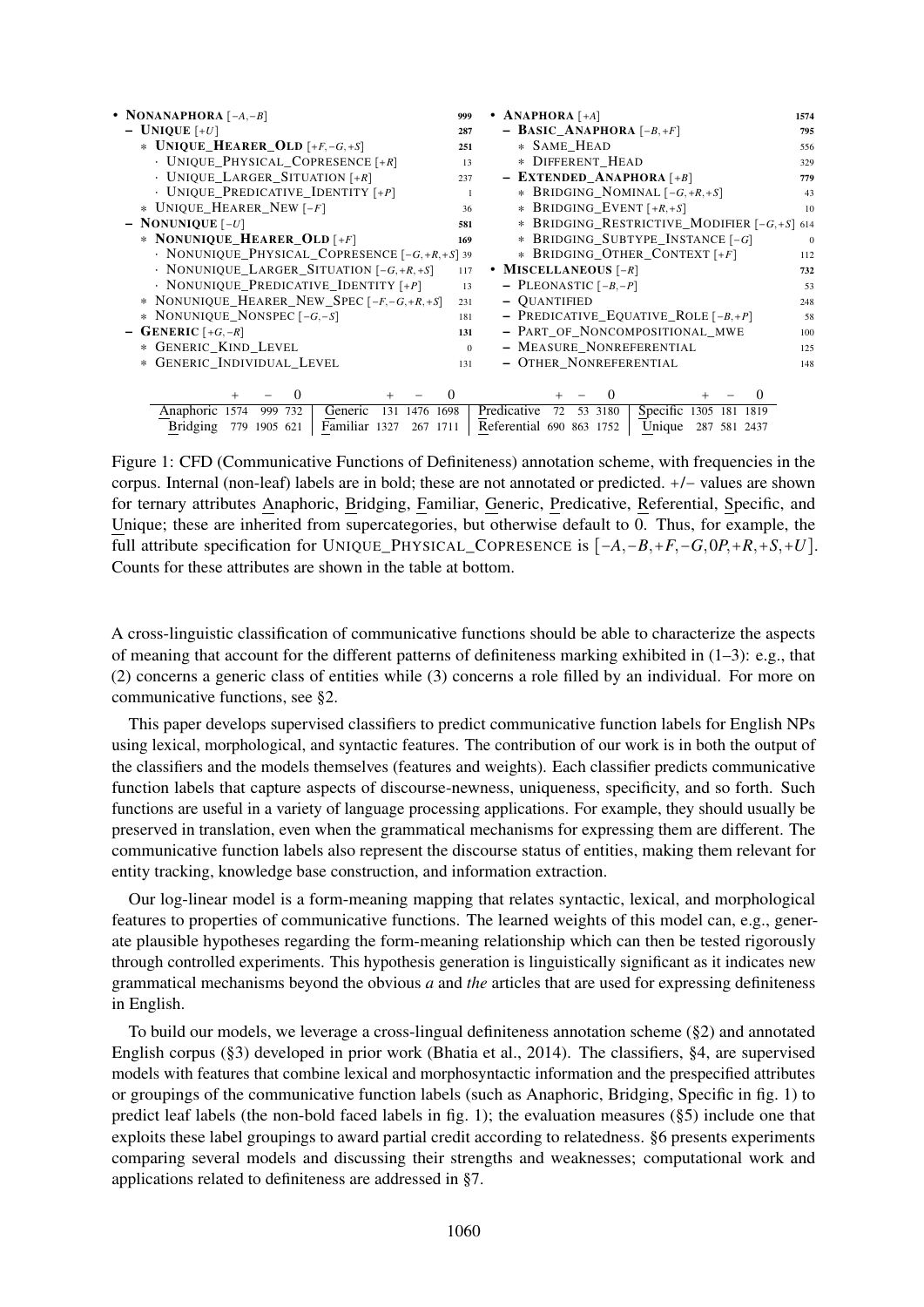| • NONANAPHORA $[-A, -B]$                                       | 999      | • ANAPHORA $[+A]$                                               | 1574     |
|----------------------------------------------------------------|----------|-----------------------------------------------------------------|----------|
| $-$ UNIQUE [+U]                                                | 287      | - BASIC_ANAPHORA $[-B, +F]$                                     | 795      |
| * UNIQUE HEARER OLD $[+F, -G, +S]$                             | 251      | * SAME_HEAD                                                     | 556      |
| $\cdot$ UNIQUE PHYSICAL COPRESENCE $[+R]$                      | 13       | * DIFFERENT_HEAD                                                | 329      |
| $\cdot$ UNIQUE LARGER SITUATION [+R]                           | 237      | - EXTENDED ANAPHORA $[+B]$                                      | 779      |
| $\cdot$ UNIQUE_PREDICATIVE_IDENTITY [+P]                       |          | * BRIDGING_NOMINAL $[-G, +R, +S]$                               | 43       |
| * UNIQUE_HEARER_NEW [-F]                                       | 36       | * BRIDGING_EVENT $[+R, +S]$                                     | 10       |
| $-$ NONUNIQUE $[-U]$                                           | 581      | * BRIDGING_RESTRICTIVE_MODIFIER $[-G, +S]$ 614                  |          |
| * NONUNIQUE HEARER OLD $\lceil + F \rceil$                     | 169      | * BRIDGING_SUBTYPE_INSTANCE [-G]                                | $\Omega$ |
| $\cdot$ NONUNIQUE PHYSICAL COPRESENCE $[-G, +R, +S]$ 39        |          | * BRIDGING_OTHER_CONTEXT [+F]                                   | 112      |
| $\cdot$ NONUNIQUE LARGER SITUATION $[-G, +R, +S]$              | 117      | • MISCELLANEOUS $[-R]$                                          | 732      |
| $\cdot$ NONUNIQUE PREDICATIVE IDENTITY [+P]                    | 13       | - PLEONASTIC $[-B, -P]$                                         | 53       |
| * NONUNIQUE HEARER NEW SPEC $[-F, -G, +R, +S]$                 | 231      | - <b>OUANTIFIED</b>                                             | 248      |
| * NONUNIQUE_NONSPEC $[-G, -S]$                                 | 181      | - PREDICATIVE EQUATIVE ROLE $[-B, +P]$                          | 58       |
| - GENERIC $[+G,-R]$                                            | 131      | - PART_OF_NONCOMPOSITIONAL_MWE                                  | 100      |
| * GENERIC KIND LEVEL                                           | $\Omega$ | - MEASURE_NONREFERENTIAL                                        | 125      |
| * GENERIC INDIVIDUAL LEVEL                                     | 131      | - OTHER NONREFERENTIAL                                          | 148      |
|                                                                |          |                                                                 |          |
| $\theta$<br>$\theta$                                           |          | $\theta$<br>$\theta$                                            |          |
| Anaphoric<br>Generic<br>999 732<br>131<br>1476<br>1698<br>1574 |          | Specific<br>Predicative<br>72<br>53 3180<br>1305<br>181<br>1819 |          |
| Familiar 1327<br><b>Bridging</b><br>779 1905 621<br>267 1711   |          | Referential 690 863 1752<br>Unique<br>287 581 2437              |          |

Figure 1: CFD (Communicative Functions of Definiteness) annotation scheme, with frequencies in the corpus. Internal (non-leaf) labels are in bold; these are not annotated or predicted. +/− values are shown for ternary attributes Anaphoric, Bridging, Familiar, Generic, Predicative, Referential, Specific, and Unique; these are inherited from supercategories, but otherwise default to 0. Thus, for example, the full attribute specification for UNIQUE\_PHYSICAL\_COPRESENCE is [−*A*,−*B*,+*F*,−*G*,0*P*,+*R*,+*S*,+*U*]. Counts for these attributes are shown in the table at bottom.

A cross-linguistic classification of communicative functions should be able to characterize the aspects of meaning that account for the different patterns of definiteness marking exhibited in  $(1-3)$ : e.g., that (2) concerns a generic class of entities while (3) concerns a role filled by an individual. For more on communicative functions, see §2.

This paper develops supervised classifiers to predict communicative function labels for English NPs using lexical, morphological, and syntactic features. The contribution of our work is in both the output of the classifiers and the models themselves (features and weights). Each classifier predicts communicative function labels that capture aspects of discourse-newness, uniqueness, specificity, and so forth. Such functions are useful in a variety of language processing applications. For example, they should usually be preserved in translation, even when the grammatical mechanisms for expressing them are different. The communicative function labels also represent the discourse status of entities, making them relevant for entity tracking, knowledge base construction, and information extraction.

Our log-linear model is a form-meaning mapping that relates syntactic, lexical, and morphological features to properties of communicative functions. The learned weights of this model can, e.g., generate plausible hypotheses regarding the form-meaning relationship which can then be tested rigorously through controlled experiments. This hypothesis generation is linguistically significant as it indicates new grammatical mechanisms beyond the obvious *a* and *the* articles that are used for expressing definiteness in English.

To build our models, we leverage a cross-lingual definiteness annotation scheme (§2) and annotated English corpus (§3) developed in prior work (Bhatia et al., 2014). The classifiers, §4, are supervised models with features that combine lexical and morphosyntactic information and the prespecified attributes or groupings of the communicative function labels (such as Anaphoric, Bridging, Specific in fig. 1) to predict leaf labels (the non-bold faced labels in fig. 1); the evaluation measures (§5) include one that exploits these label groupings to award partial credit according to relatedness. §6 presents experiments comparing several models and discussing their strengths and weaknesses; computational work and applications related to definiteness are addressed in §7.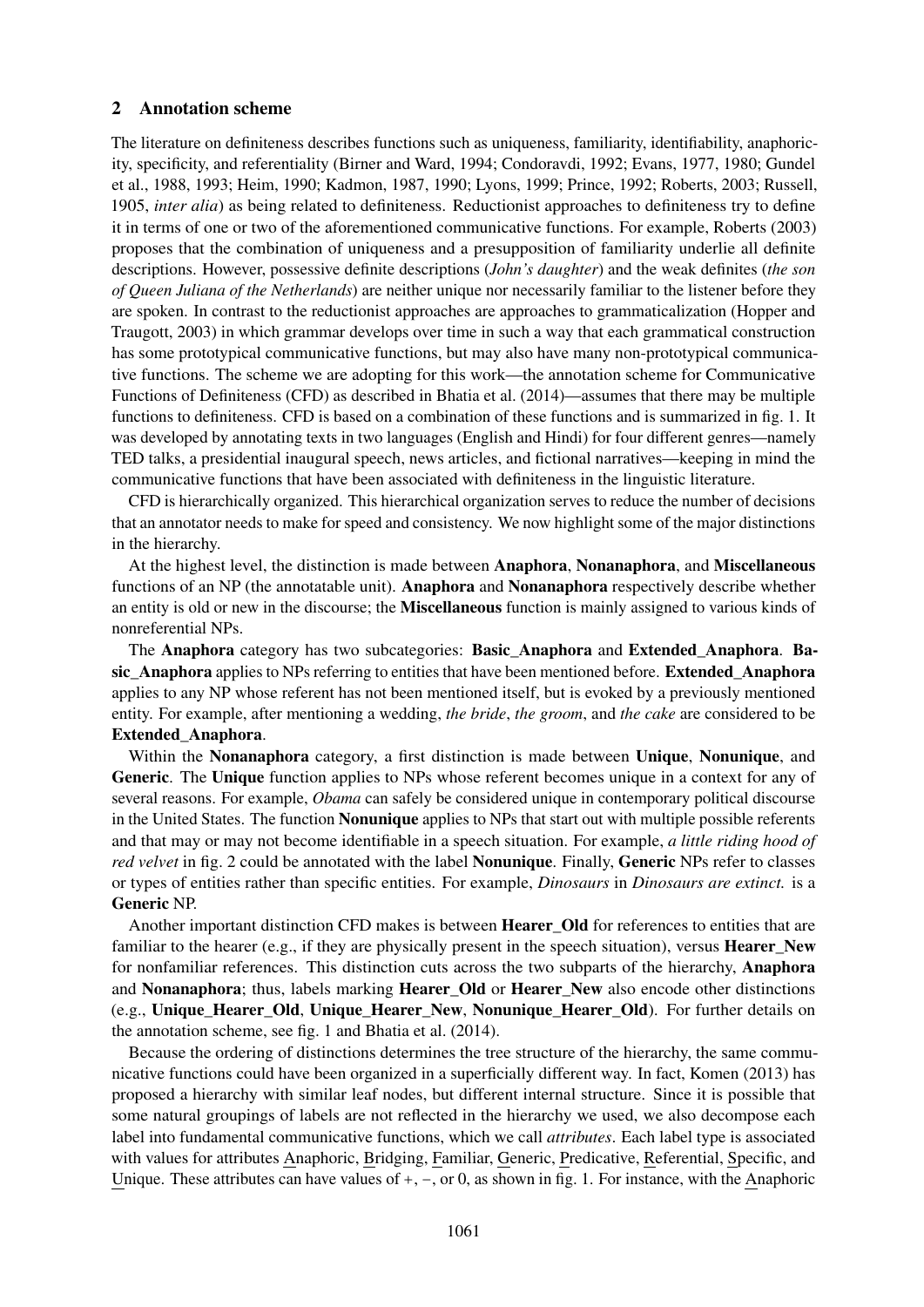### 2 Annotation scheme

The literature on definiteness describes functions such as uniqueness, familiarity, identifiability, anaphoricity, specificity, and referentiality (Birner and Ward, 1994; Condoravdi, 1992; Evans, 1977, 1980; Gundel et al., 1988, 1993; Heim, 1990; Kadmon, 1987, 1990; Lyons, 1999; Prince, 1992; Roberts, 2003; Russell, 1905, *inter alia*) as being related to definiteness. Reductionist approaches to definiteness try to define it in terms of one or two of the aforementioned communicative functions. For example, Roberts (2003) proposes that the combination of uniqueness and a presupposition of familiarity underlie all definite descriptions. However, possessive definite descriptions (*John's daughter*) and the weak definites (*the son of Queen Juliana of the Netherlands*) are neither unique nor necessarily familiar to the listener before they are spoken. In contrast to the reductionist approaches are approaches to grammaticalization (Hopper and Traugott, 2003) in which grammar develops over time in such a way that each grammatical construction has some prototypical communicative functions, but may also have many non-prototypical communicative functions. The scheme we are adopting for this work—the annotation scheme for Communicative Functions of Definiteness (CFD) as described in Bhatia et al. (2014)—assumes that there may be multiple functions to definiteness. CFD is based on a combination of these functions and is summarized in fig. 1. It was developed by annotating texts in two languages (English and Hindi) for four different genres—namely TED talks, a presidential inaugural speech, news articles, and fictional narratives—keeping in mind the communicative functions that have been associated with definiteness in the linguistic literature.

CFD is hierarchically organized. This hierarchical organization serves to reduce the number of decisions that an annotator needs to make for speed and consistency. We now highlight some of the major distinctions in the hierarchy.

At the highest level, the distinction is made between Anaphora, Nonanaphora, and Miscellaneous functions of an NP (the annotatable unit). Anaphora and Nonanaphora respectively describe whether an entity is old or new in the discourse; the Miscellaneous function is mainly assigned to various kinds of nonreferential NPs.

The Anaphora category has two subcategories: Basic\_Anaphora and Extended\_Anaphora. Basic Anaphora applies to NPs referring to entities that have been mentioned before. Extended Anaphora applies to any NP whose referent has not been mentioned itself, but is evoked by a previously mentioned entity. For example, after mentioning a wedding, *the bride*, *the groom*, and *the cake* are considered to be Extended\_Anaphora.

Within the Nonanaphora category, a first distinction is made between Unique, Nonunique, and Generic. The Unique function applies to NPs whose referent becomes unique in a context for any of several reasons. For example, *Obama* can safely be considered unique in contemporary political discourse in the United States. The function Nonunique applies to NPs that start out with multiple possible referents and that may or may not become identifiable in a speech situation. For example, *a little riding hood of red velvet* in fig. 2 could be annotated with the label **Nonunique**. Finally, **Generic** NPs refer to classes or types of entities rather than specific entities. For example, *Dinosaurs* in *Dinosaurs are extinct.* is a Generic NP.

Another important distinction CFD makes is between Hearer\_Old for references to entities that are familiar to the hearer  $(e.g., if they are physically present in the speech situation)$ , versus **Hearer\_New** for nonfamiliar references. This distinction cuts across the two subparts of the hierarchy, Anaphora and Nonanaphora; thus, labels marking Hearer Old or Hearer New also encode other distinctions (e.g., Unique\_Hearer\_Old, Unique\_Hearer\_New, Nonunique\_Hearer\_Old). For further details on the annotation scheme, see fig. 1 and Bhatia et al. (2014).

Because the ordering of distinctions determines the tree structure of the hierarchy, the same communicative functions could have been organized in a superficially different way. In fact, Komen (2013) has proposed a hierarchy with similar leaf nodes, but different internal structure. Since it is possible that some natural groupings of labels are not reflected in the hierarchy we used, we also decompose each label into fundamental communicative functions, which we call *attributes*. Each label type is associated with values for attributes Anaphoric, Bridging, Familiar, Generic, Predicative, Referential, Specific, and Unique. These attributes can have values of  $+$ ,  $-$ , or 0, as shown in fig. 1. For instance, with the Anaphoric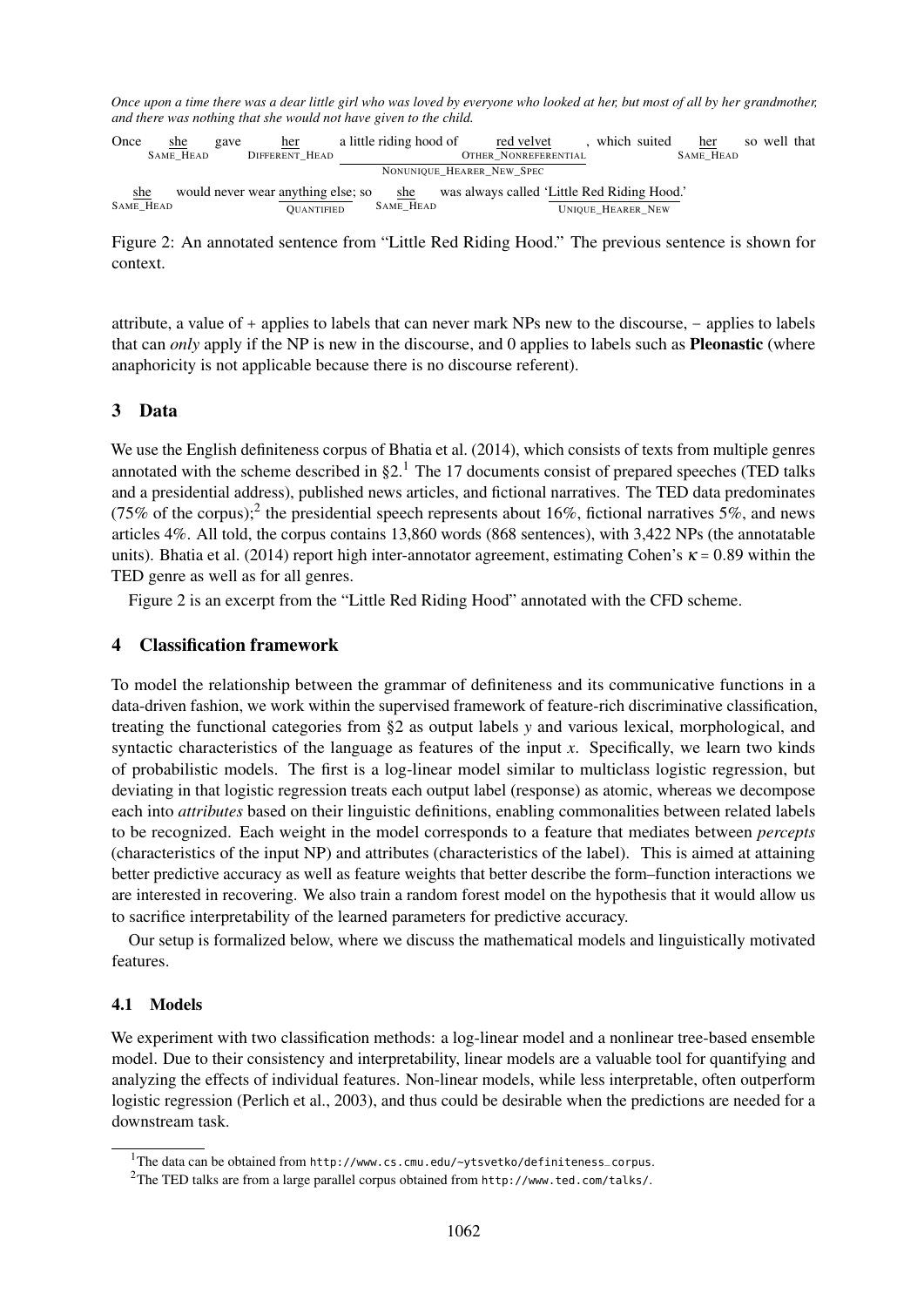*Once upon a time there was a dear little girl who was loved by everyone who looked at her, but most of all by her grandmother, and there was nothing that she would not have given to the child.*

Once she SAME\_HEAD gave her DIFFERENT\_HEAD a little riding hood of red velvet OTHER NONREFERENTIAL NONUNIQUE\_HEARER\_NEW\_SPEC , which suited her SAME\_HEAD so well that she SAME\_HEAD would never wear anything else; so she **OUANTIFIED** SAME\_HEAD was always called 'Little Red Riding Hood .' UNIQUE\_HEARER\_NEW

Figure 2: An annotated sentence from "Little Red Riding Hood." The previous sentence is shown for context.

attribute, a value of + applies to labels that can never mark NPs new to the discourse, − applies to labels that can *only* apply if the NP is new in the discourse, and 0 applies to labels such as Pleonastic (where anaphoricity is not applicable because there is no discourse referent).

## 3 Data

We use the English definiteness corpus of Bhatia et al. (2014), which consists of texts from multiple genres annotated with the scheme described in  $\S2<sup>1</sup>$ . The 17 documents consist of prepared speeches (TED talks and a presidential address), published news articles, and fictional narratives. The TED data predominates (75% of the corpus);<sup>2</sup> the presidential speech represents about 16%, fictional narratives 5%, and news articles 4%. All told, the corpus contains 13,860 words (868 sentences), with 3,422 NPs (the annotatable units). Bhatia et al. (2014) report high inter-annotator agreement, estimating Cohen's  $\kappa = 0.89$  within the TED genre as well as for all genres.

Figure 2 is an excerpt from the "Little Red Riding Hood" annotated with the CFD scheme.

## 4 Classification framework

To model the relationship between the grammar of definiteness and its communicative functions in a data-driven fashion, we work within the supervised framework of feature-rich discriminative classification, treating the functional categories from §2 as output labels *y* and various lexical, morphological, and syntactic characteristics of the language as features of the input *x*. Specifically, we learn two kinds of probabilistic models. The first is a log-linear model similar to multiclass logistic regression, but deviating in that logistic regression treats each output label (response) as atomic, whereas we decompose each into *attributes* based on their linguistic definitions, enabling commonalities between related labels to be recognized. Each weight in the model corresponds to a feature that mediates between *percepts* (characteristics of the input NP) and attributes (characteristics of the label). This is aimed at attaining better predictive accuracy as well as feature weights that better describe the form–function interactions we are interested in recovering. We also train a random forest model on the hypothesis that it would allow us to sacrifice interpretability of the learned parameters for predictive accuracy.

Our setup is formalized below, where we discuss the mathematical models and linguistically motivated features.

#### 4.1 Models

We experiment with two classification methods: a log-linear model and a nonlinear tree-based ensemble model. Due to their consistency and interpretability, linear models are a valuable tool for quantifying and analyzing the effects of individual features. Non-linear models, while less interpretable, often outperform logistic regression (Perlich et al., 2003), and thus could be desirable when the predictions are needed for a downstream task.

<sup>1</sup>The data can be obtained from http://www.cs.cmu.edu/~ytsvetko/definiteness\_corpus.

<sup>2</sup>The TED talks are from a large parallel corpus obtained from http://www.ted.com/talks/.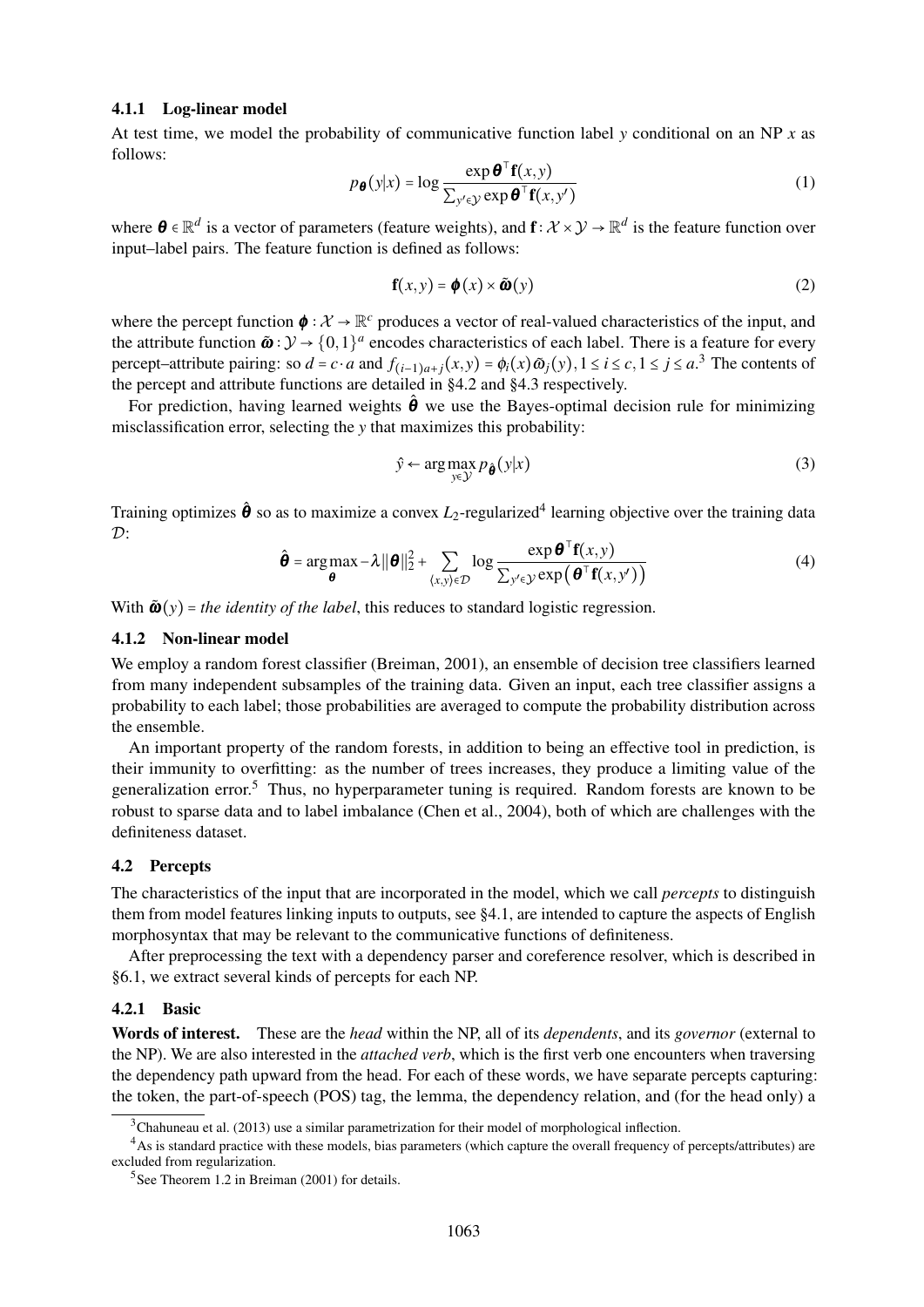#### 4.1.1 Log-linear model

At test time, we model the probability of communicative function label *y* conditional on an NP *x* as follows:

$$
p_{\boldsymbol{\theta}}(y|x) = \log \frac{\exp \boldsymbol{\theta}^{\top} \mathbf{f}(x, y)}{\sum_{y' \in \mathcal{Y}} \exp \boldsymbol{\theta}^{\top} \mathbf{f}(x, y')}
$$
(1)

where  $\theta \in \mathbb{R}^d$  is a vector of parameters (feature weights), and  $f: \mathcal{X} \times \mathcal{Y} \to \mathbb{R}^d$  is the feature function over input–label pairs. The feature function is defined as follows:

$$
\mathbf{f}(x, y) = \boldsymbol{\phi}(x) \times \tilde{\boldsymbol{\omega}}(y)
$$
 (2)

where the percept function  $\phi : \mathcal{X} \to \mathbb{R}^c$  produces a vector of real-valued characteristics of the input, and the attribute function  $\tilde{\omega}: \mathcal{Y} \to \{0,1\}^d$  encodes characteristics of each label. There is a feature for every percept-attribute pairing: so  $d = c \cdot a$  and  $f_{(i-1)a+j}(x, y) = \phi_i(x) \tilde{\omega}_j(y), 1 \le i \le c, 1 \le j \le a$ <sup>3</sup>. The contents of the percept and attribute functions are detailed in §4.2 and §4.3 respectively.

For prediction, having learned weights  $\hat{\theta}$  we use the Bayes-optimal decision rule for minimizing misclassification error, selecting the *y* that maximizes this probability:

$$
\hat{y} \leftarrow \arg \max_{y \in \mathcal{Y}} p_{\hat{\theta}}(y|x)
$$
\n(3)

Training optimizes  $\hat{\theta}$  so as to maximize a convex  $L_2$ -regularized<sup>4</sup> learning objective over the training data  $\mathcal{D}$ .  $550$ 

$$
\hat{\boldsymbol{\theta}} = \arg \max_{\boldsymbol{\theta}} -\lambda ||\boldsymbol{\theta}||_2^2 + \sum_{\langle x, y \rangle \in \mathcal{D}} \log \frac{\exp \boldsymbol{\theta}^{\top} \mathbf{f}(x, y)}{\sum_{y' \in \mathcal{Y}} \exp \left(\boldsymbol{\theta}^{\top} \mathbf{f}(x, y')\right)}
$$
(4)

With  $\tilde{\omega}(y)$  = *the identity of the label*, this reduces to standard logistic regression.

#### 4.1.2 Non-linear model

We employ a random forest classifier (Breiman, 2001), an ensemble of decision tree classifiers learned from many independent subsamples of the training data. Given an input, each tree classifier assigns a probability to each label; those probabilities are averaged to compute the probability distribution across the ensemble.

An important property of the random forests, in addition to being an effective tool in prediction, is their immunity to overfitting: as the number of trees increases, they produce a limiting value of the generalization error.<sup>5</sup> Thus, no hyperparameter tuning is required. Random forests are known to be robust to sparse data and to label imbalance (Chen et al., 2004), both of which are challenges with the definiteness dataset.

#### 4.2 Percepts

The characteristics of the input that are incorporated in the model, which we call *percepts* to distinguish them from model features linking inputs to outputs, see §4.1, are intended to capture the aspects of English morphosyntax that may be relevant to the communicative functions of definiteness.

After preprocessing the text with a dependency parser and coreference resolver, which is described in §6.1, we extract several kinds of percepts for each NP.

#### 4.2.1 Basic

Words of interest. These are the *head* within the NP, all of its *dependents*, and its *governor* (external to the NP). We are also interested in the *attached verb*, which is the first verb one encounters when traversing the dependency path upward from the head. For each of these words, we have separate percepts capturing: the token, the part-of-speech (POS) tag, the lemma, the dependency relation, and (for the head only) a

<sup>&</sup>lt;sup>3</sup>Chahuneau et al. (2013) use a similar parametrization for their model of morphological inflection.

<sup>&</sup>lt;sup>4</sup>As is standard practice with these models, bias parameters (which capture the overall frequency of percepts/attributes) are excluded from regularization.

<sup>5</sup> See Theorem 1.2 in Breiman (2001) for details.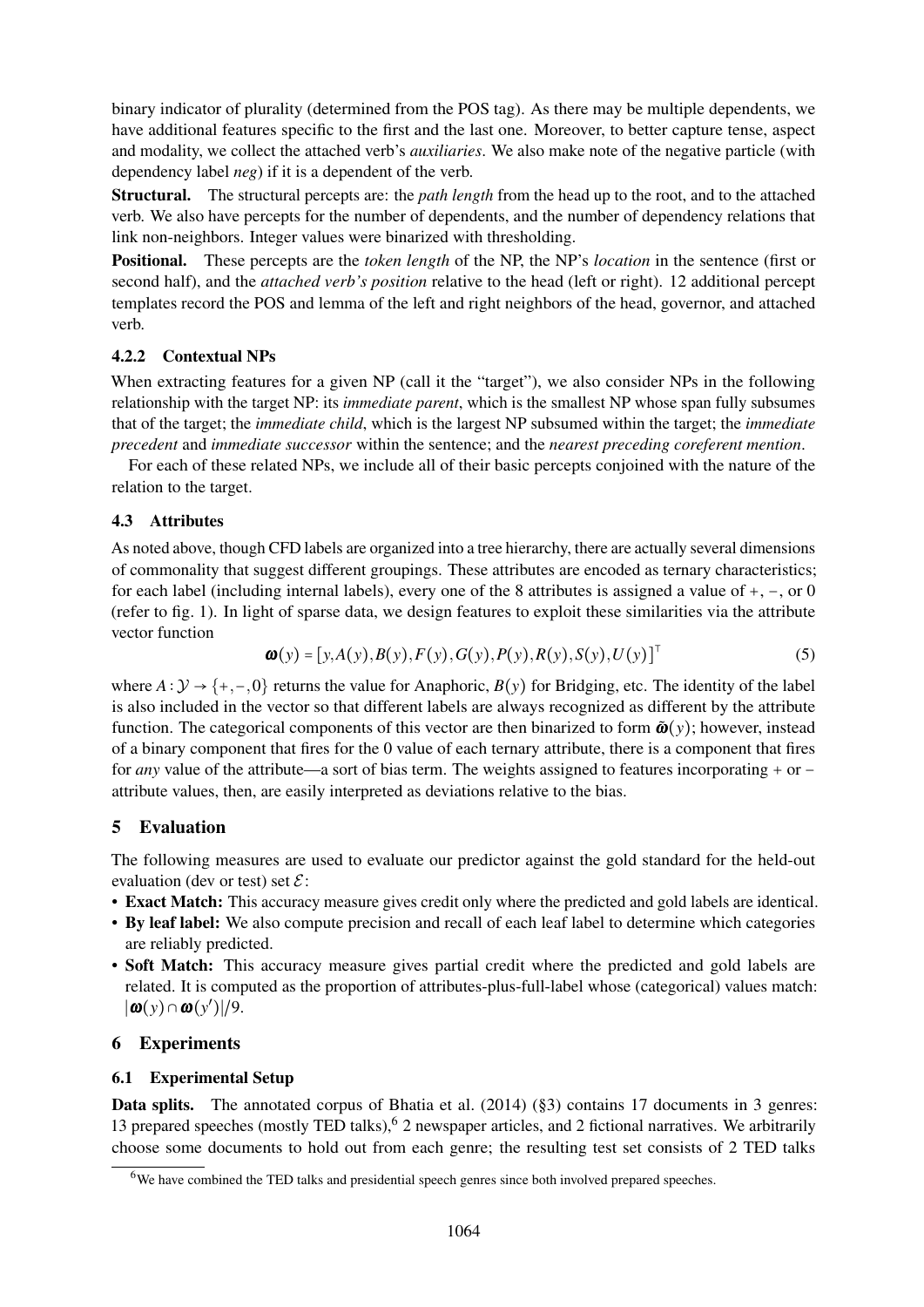binary indicator of plurality (determined from the POS tag). As there may be multiple dependents, we have additional features specific to the first and the last one. Moreover, to better capture tense, aspect and modality, we collect the attached verb's *auxiliaries*. We also make note of the negative particle (with dependency label *neg*) if it is a dependent of the verb.

Structural. The structural percepts are: the *path length* from the head up to the root, and to the attached verb. We also have percepts for the number of dependents, and the number of dependency relations that link non-neighbors. Integer values were binarized with thresholding.

Positional. These percepts are the *token length* of the NP, the NP's *location* in the sentence (first or second half), and the *attached verb's position* relative to the head (left or right). 12 additional percept templates record the POS and lemma of the left and right neighbors of the head, governor, and attached verb.

## 4.2.2 Contextual NPs

When extracting features for a given NP (call it the "target"), we also consider NPs in the following relationship with the target NP: its *immediate parent*, which is the smallest NP whose span fully subsumes that of the target; the *immediate child*, which is the largest NP subsumed within the target; the *immediate precedent* and *immediate successor* within the sentence; and the *nearest preceding coreferent mention*.

For each of these related NPs, we include all of their basic percepts conjoined with the nature of the relation to the target.

## 4.3 Attributes

As noted above, though CFD labels are organized into a tree hierarchy, there are actually several dimensions of commonality that suggest different groupings. These attributes are encoded as ternary characteristics; for each label (including internal labels), every one of the 8 attributes is assigned a value of +, −, or 0 (refer to fig. 1). In light of sparse data, we design features to exploit these similarities via the attribute vector function

$$
\boldsymbol{\omega}(y) = [y, A(y), B(y), F(y), G(y), P(y), R(y), S(y), U(y)]^{\top}
$$
\n(5)

where  $A: \mathcal{Y} \to \{+, -, 0\}$  returns the value for Anaphoric,  $B(y)$  for Bridging, etc. The identity of the label is also included in the vector so that different labels are always recognized as different by the attribute function. The categorical components of this vector are then binarized to form  $\tilde{\mathbf{w}}(y)$ ; however, instead of a binary component that fires for the 0 value of each ternary attribute, there is a component that fires for *any* value of the attribute—a sort of bias term. The weights assigned to features incorporating + or − attribute values, then, are easily interpreted as deviations relative to the bias.

## 5 Evaluation

The following measures are used to evaluate our predictor against the gold standard for the held-out evaluation (dev or test) set  $\mathcal{E}$ :

- Exact Match: This accuracy measure gives credit only where the predicted and gold labels are identical.
- By leaf label: We also compute precision and recall of each leaf label to determine which categories are reliably predicted.
- Soft Match: This accuracy measure gives partial credit where the predicted and gold labels are related. It is computed as the proportion of attributes-plus-full-label whose (categorical) values match:  $|\boldsymbol{\omega}(y) \cap \boldsymbol{\omega}(y')|/9.$

## 6 Experiments

## 6.1 Experimental Setup

Data splits. The annotated corpus of Bhatia et al. (2014) (§3) contains 17 documents in 3 genres: 13 prepared speeches (mostly TED talks), <sup>6</sup> 2 newspaper articles, and 2 fictional narratives. We arbitrarily choose some documents to hold out from each genre; the resulting test set consists of 2 TED talks

<sup>&</sup>lt;sup>6</sup>We have combined the TED talks and presidential speech genres since both involved prepared speeches.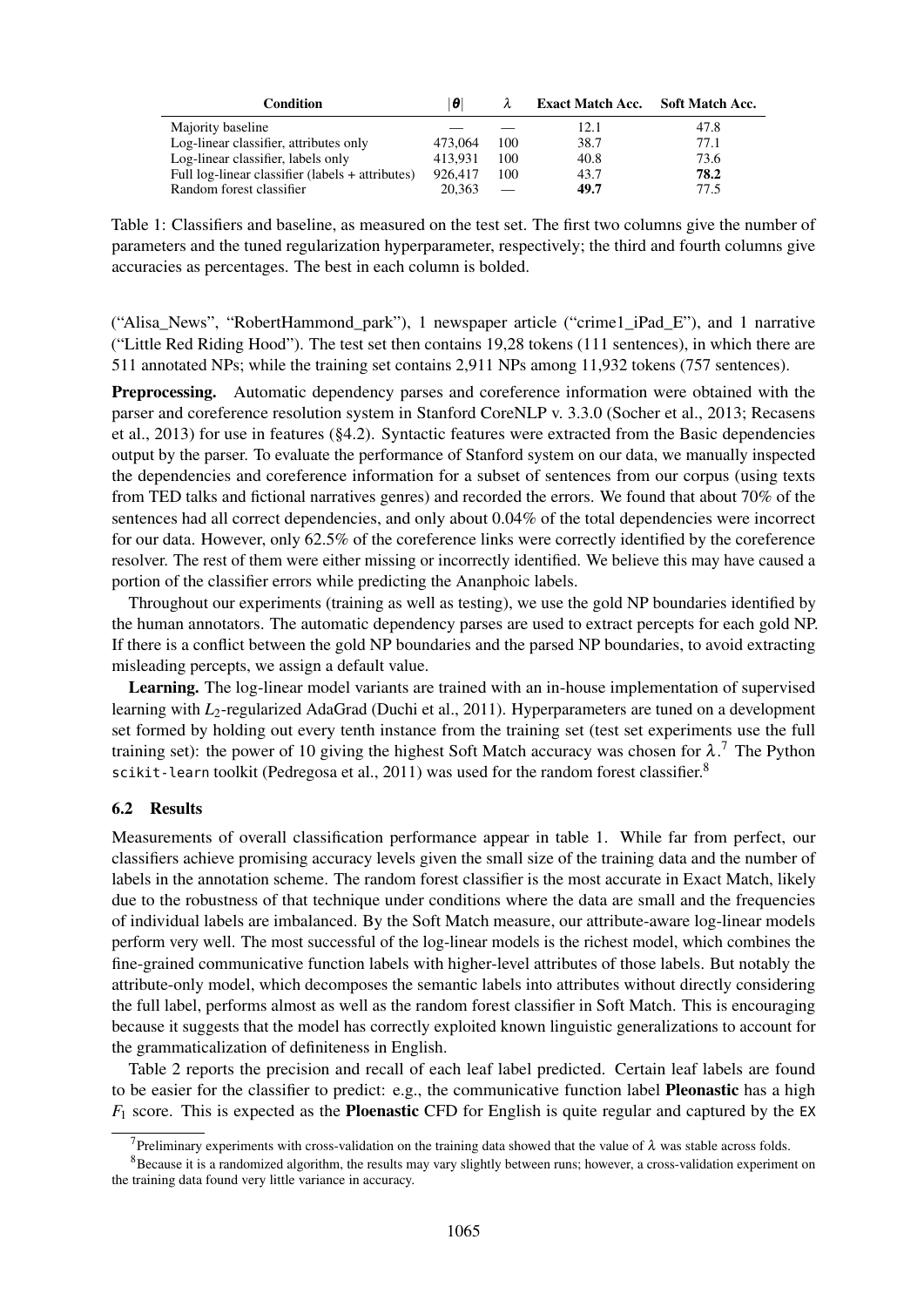| <b>Condition</b>                                 | 10      |     | Exact Match Acc. Soft Match Acc. |      |
|--------------------------------------------------|---------|-----|----------------------------------|------|
| Majority baseline                                |         |     | 12.1                             | 47.8 |
| Log-linear classifier, attributes only           | 473,064 | 100 | 38.7                             | 77.1 |
| Log-linear classifier, labels only               | 413.931 | 100 | 40.8                             | 73.6 |
| Full log-linear classifier (labels + attributes) | 926,417 | 100 | 43.7                             | 78.2 |
| Random forest classifier                         | 20.363  |     | 49.7                             | 77.5 |

Table 1: Classifiers and baseline, as measured on the test set. The first two columns give the number of parameters and the tuned regularization hyperparameter, respectively; the third and fourth columns give accuracies as percentages. The best in each column is bolded.

("Alisa\_News", "RobertHammond\_park"), 1 newspaper article ("crime1\_iPad\_E"), and 1 narrative ("Little Red Riding Hood"). The test set then contains 19,28 tokens (111 sentences), in which there are 511 annotated NPs; while the training set contains 2,911 NPs among 11,932 tokens (757 sentences).

Preprocessing. Automatic dependency parses and coreference information were obtained with the parser and coreference resolution system in Stanford CoreNLP v. 3.3.0 (Socher et al., 2013; Recasens et al., 2013) for use in features (§4.2). Syntactic features were extracted from the Basic dependencies output by the parser. To evaluate the performance of Stanford system on our data, we manually inspected the dependencies and coreference information for a subset of sentences from our corpus (using texts from TED talks and fictional narratives genres) and recorded the errors. We found that about 70% of the sentences had all correct dependencies, and only about 0.04% of the total dependencies were incorrect for our data. However, only 62.5% of the coreference links were correctly identified by the coreference resolver. The rest of them were either missing or incorrectly identified. We believe this may have caused a portion of the classifier errors while predicting the Ananphoic labels.

Throughout our experiments (training as well as testing), we use the gold NP boundaries identified by the human annotators. The automatic dependency parses are used to extract percepts for each gold NP. If there is a conflict between the gold NP boundaries and the parsed NP boundaries, to avoid extracting misleading percepts, we assign a default value.

Learning. The log-linear model variants are trained with an in-house implementation of supervised learning with *L*<sub>2</sub>-regularized AdaGrad (Duchi et al., 2011). Hyperparameters are tuned on a development set formed by holding out every tenth instance from the training set (test set experiments use the full training set): the power of 10 giving the highest Soft Match accuracy was chosen for  $\lambda$ .<sup>7</sup> The Python scikit-learn toolkit (Pedregosa et al., 2011) was used for the random forest classifier.<sup>8</sup>

#### 6.2 Results

Measurements of overall classification performance appear in table 1. While far from perfect, our classifiers achieve promising accuracy levels given the small size of the training data and the number of labels in the annotation scheme. The random forest classifier is the most accurate in Exact Match, likely due to the robustness of that technique under conditions where the data are small and the frequencies of individual labels are imbalanced. By the Soft Match measure, our attribute-aware log-linear models perform very well. The most successful of the log-linear models is the richest model, which combines the fine-grained communicative function labels with higher-level attributes of those labels. But notably the attribute-only model, which decomposes the semantic labels into attributes without directly considering the full label, performs almost as well as the random forest classifier in Soft Match. This is encouraging because it suggests that the model has correctly exploited known linguistic generalizations to account for the grammaticalization of definiteness in English.

Table 2 reports the precision and recall of each leaf label predicted. Certain leaf labels are found to be easier for the classifier to predict: e.g., the communicative function label Pleonastic has a high  $F_1$  score. This is expected as the **Ploenastic** CFD for English is quite regular and captured by the EX

<sup>&</sup>lt;sup>7</sup>Preliminary experiments with cross-validation on the training data showed that the value of  $\lambda$  was stable across folds.

<sup>&</sup>lt;sup>8</sup>Because it is a randomized algorithm, the results may vary slightly between runs; however, a cross-validation experiment on the training data found very little variance in accuracy.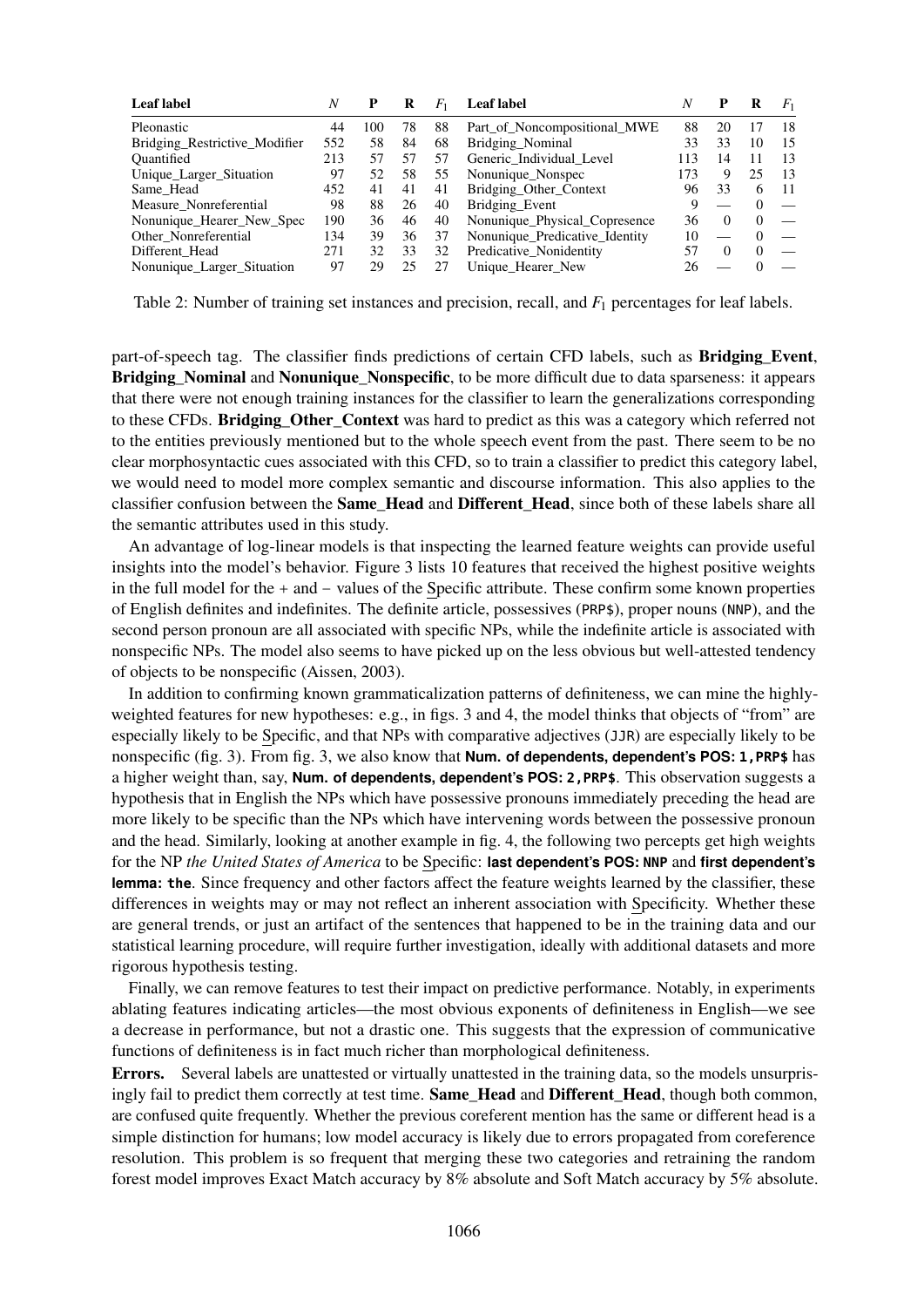| Leaf label                    | N   | P   |    | $F_1$ | <b>Leaf</b> label              | N   | P        | R        | $F_1$ |
|-------------------------------|-----|-----|----|-------|--------------------------------|-----|----------|----------|-------|
| Pleonastic                    | 44  | 100 | 78 | 88    | Part of Noncompositional MWE   | 88  | 20       | 17       | 18    |
| Bridging Restrictive Modifier | 552 | 58  | 84 | 68    | Bridging Nominal               | 33  | 33       | 10       | 15    |
| Ouantified                    | 213 | 57  | 57 | 57    | Generic Individual Level       | 113 | 14       | 11       | 13    |
| Unique_Larger_Situation       | 97  | 52  | 58 | 55    | Nonunique Nonspec              | 173 | 9        | 25       | 13    |
| Same Head                     | 452 | 41  | 41 | 41    | Bridging Other Context         | 96  | 33       | 6        | -11   |
| Measure Nonreferential        | 98  | 88  | 26 | 40    | Bridging Event                 | 9   |          | $\Omega$ |       |
| Nonunique Hearer New Spec     | 190 | 36  | 46 | 40    | Nonunique Physical Copresence  | 36  | $\Omega$ | $\Omega$ |       |
| Other Nonreferential          | 134 | 39  | 36 | 37    | Nonunique Predicative Identity | 10  |          | $\Omega$ |       |
| Different Head                | 271 | 32  | 33 | 32    | Predicative_Nonidentity        | 57  | $\Omega$ | $\Omega$ |       |
| Nonunique Larger Situation    | 97  | 29  |    |       | Unique Hearer New              | 26  |          | $\Omega$ |       |

Table 2: Number of training set instances and precision, recall, and *F*<sup>1</sup> percentages for leaf labels.

part-of-speech tag. The classifier finds predictions of certain CFD labels, such as **Bridging Event**, Bridging Nominal and Nonunique Nonspecific, to be more difficult due to data sparseness: it appears that there were not enough training instances for the classifier to learn the generalizations corresponding to these CFDs. Bridging\_Other\_Context was hard to predict as this was a category which referred not to the entities previously mentioned but to the whole speech event from the past. There seem to be no clear morphosyntactic cues associated with this CFD, so to train a classifier to predict this category label, we would need to model more complex semantic and discourse information. This also applies to the classifier confusion between the **Same–Head** and Different–Head, since both of these labels share all the semantic attributes used in this study.

An advantage of log-linear models is that inspecting the learned feature weights can provide useful insights into the model's behavior. Figure 3 lists 10 features that received the highest positive weights in the full model for the + and − values of the Specific attribute. These confirm some known properties of English definites and indefinites. The definite article, possessives (PRP\$), proper nouns (NNP), and the second person pronoun are all associated with specific NPs, while the indefinite article is associated with nonspecific NPs. The model also seems to have picked up on the less obvious but well-attested tendency of objects to be nonspecific (Aissen, 2003).

In addition to confirming known grammaticalization patterns of definiteness, we can mine the highlyweighted features for new hypotheses: e.g., in figs. 3 and 4, the model thinks that objects of "from" are especially likely to be Specific, and that NPs with comparative adjectives (JJR) are especially likely to be nonspecific (fig. 3). From fig. 3, we also know that **Num. of dependents, dependent's POS: 1,PRP\$** has a higher weight than, say, **Num. of dependents, dependent's POS: 2,PRP\$**. This observation suggests a hypothesis that in English the NPs which have possessive pronouns immediately preceding the head are more likely to be specific than the NPs which have intervening words between the possessive pronoun and the head. Similarly, looking at another example in fig. 4, the following two percepts get high weights for the NP *the United States of America* to be Specific: **last dependent's POS: NNP** and **first dependent's lemma: the**. Since frequency and other factors affect the feature weights learned by the classifier, these differences in weights may or may not reflect an inherent association with Specificity. Whether these are general trends, or just an artifact of the sentences that happened to be in the training data and our statistical learning procedure, will require further investigation, ideally with additional datasets and more rigorous hypothesis testing.

Finally, we can remove features to test their impact on predictive performance. Notably, in experiments ablating features indicating articles—the most obvious exponents of definiteness in English—we see a decrease in performance, but not a drastic one. This suggests that the expression of communicative functions of definiteness is in fact much richer than morphological definiteness.

Errors. Several labels are unattested or virtually unattested in the training data, so the models unsurprisingly fail to predict them correctly at test time. Same\_Head and Different Head, though both common, are confused quite frequently. Whether the previous coreferent mention has the same or different head is a simple distinction for humans; low model accuracy is likely due to errors propagated from coreference resolution. This problem is so frequent that merging these two categories and retraining the random forest model improves Exact Match accuracy by 8% absolute and Soft Match accuracy by 5% absolute.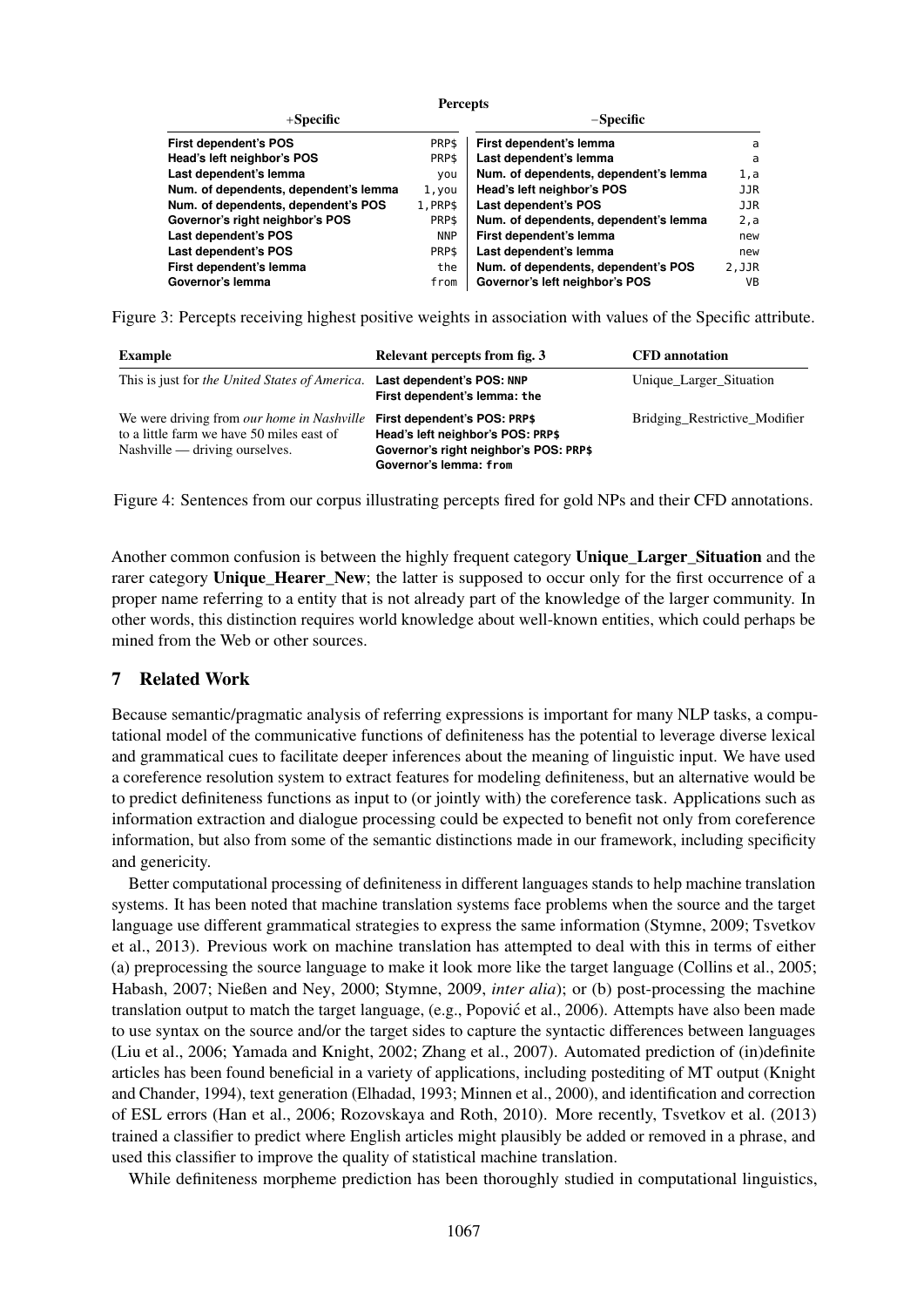|                                       | <b>Percepts</b> |                                       |            |  |
|---------------------------------------|-----------------|---------------------------------------|------------|--|
| $+$ Specific                          | $-S$ pecific    |                                       |            |  |
| <b>First dependent's POS</b>          | PRP\$           | First dependent's lemma               | a          |  |
| Head's left neighbor's POS            | PRP\$           | Last dependent's lemma                | a          |  |
| Last dependent's lemma                | you             | Num. of dependents, dependent's lemma | 1,a        |  |
| Num. of dependents, dependent's lemma | 1, you          | Head's left neighbor's POS            | JJR        |  |
| Num. of dependents, dependent's POS   | 1.PRP\$         | Last dependent's POS                  | <b>JJR</b> |  |
| Governor's right neighbor's POS       | PRP\$           | Num. of dependents, dependent's lemma | 2, a       |  |
| Last dependent's POS                  | <b>NNP</b>      | First dependent's lemma               | new        |  |
| Last dependent's POS                  | PRP\$           | Last dependent's lemma                | new        |  |
| First dependent's lemma               | the             | Num. of dependents, dependent's POS   | 2.JJR      |  |
| Governor's lemma                      | from            | Governor's left neighbor's POS        | <b>VB</b>  |  |

Figure 3: Percepts receiving highest positive weights in association with values of the Specific attribute.

| Example                                                                                                                                                       | Relevant percepts from fig. 3                                                                         | <b>CFD</b> annotation         |
|---------------------------------------------------------------------------------------------------------------------------------------------------------------|-------------------------------------------------------------------------------------------------------|-------------------------------|
| This is just for the United States of America.                                                                                                                | Last dependent's POS: NNP<br>First dependent's lemma: the                                             | Unique_Larger_Situation       |
| We were driving from <i>our home in Nashville</i> First dependent's POS: PRP\$<br>to a little farm we have 50 miles east of<br>Nashville — driving ourselves. | Head's left neighbor's POS: PRP\$<br>Governor's right neighbor's POS: PRP\$<br>Governor's lemma: from | Bridging Restrictive Modifier |

Figure 4: Sentences from our corpus illustrating percepts fired for gold NPs and their CFD annotations.

Another common confusion is between the highly frequent category Unique Larger Situation and the rarer category Unique\_Hearer\_New; the latter is supposed to occur only for the first occurrence of a proper name referring to a entity that is not already part of the knowledge of the larger community. In other words, this distinction requires world knowledge about well-known entities, which could perhaps be mined from the Web or other sources.

### 7 Related Work

Because semantic/pragmatic analysis of referring expressions is important for many NLP tasks, a computational model of the communicative functions of definiteness has the potential to leverage diverse lexical and grammatical cues to facilitate deeper inferences about the meaning of linguistic input. We have used a coreference resolution system to extract features for modeling definiteness, but an alternative would be to predict definiteness functions as input to (or jointly with) the coreference task. Applications such as information extraction and dialogue processing could be expected to benefit not only from coreference information, but also from some of the semantic distinctions made in our framework, including specificity and genericity.

Better computational processing of definiteness in different languages stands to help machine translation systems. It has been noted that machine translation systems face problems when the source and the target language use different grammatical strategies to express the same information (Stymne, 2009; Tsvetkov et al., 2013). Previous work on machine translation has attempted to deal with this in terms of either (a) preprocessing the source language to make it look more like the target language (Collins et al., 2005; Habash, 2007; Nießen and Ney, 2000; Stymne, 2009, *inter alia*); or (b) post-processing the machine translation output to match the target language, (e.g., Popovic et al., 2006). Attempts have also been made ´ to use syntax on the source and/or the target sides to capture the syntactic differences between languages (Liu et al., 2006; Yamada and Knight, 2002; Zhang et al., 2007). Automated prediction of (in)definite articles has been found beneficial in a variety of applications, including postediting of MT output (Knight and Chander, 1994), text generation (Elhadad, 1993; Minnen et al., 2000), and identification and correction of ESL errors (Han et al., 2006; Rozovskaya and Roth, 2010). More recently, Tsvetkov et al. (2013) trained a classifier to predict where English articles might plausibly be added or removed in a phrase, and used this classifier to improve the quality of statistical machine translation.

While definiteness morpheme prediction has been thoroughly studied in computational linguistics,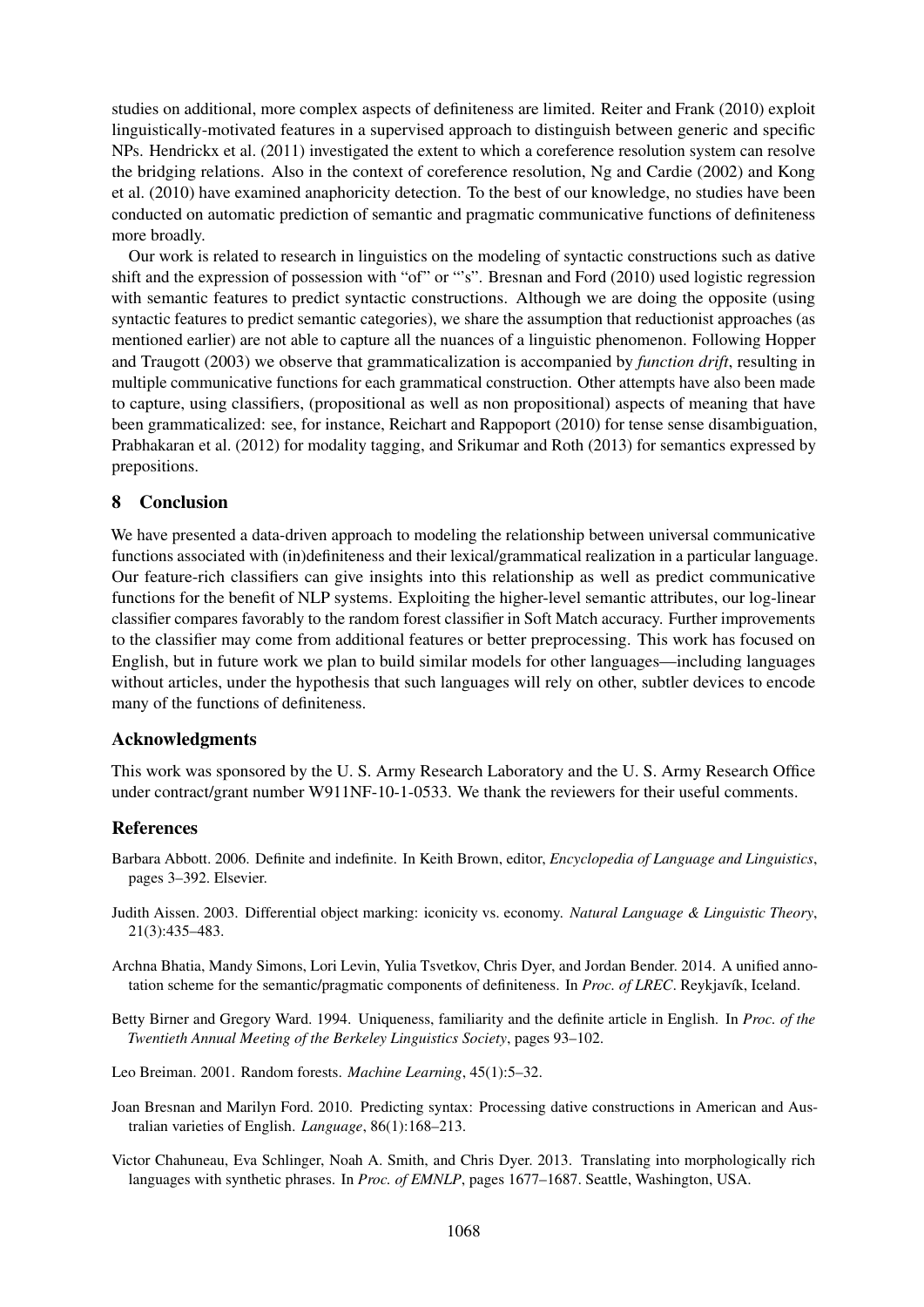studies on additional, more complex aspects of definiteness are limited. Reiter and Frank (2010) exploit linguistically-motivated features in a supervised approach to distinguish between generic and specific NPs. Hendrickx et al. (2011) investigated the extent to which a coreference resolution system can resolve the bridging relations. Also in the context of coreference resolution, Ng and Cardie (2002) and Kong et al. (2010) have examined anaphoricity detection. To the best of our knowledge, no studies have been conducted on automatic prediction of semantic and pragmatic communicative functions of definiteness more broadly.

Our work is related to research in linguistics on the modeling of syntactic constructions such as dative shift and the expression of possession with "of" or "'s". Bresnan and Ford (2010) used logistic regression with semantic features to predict syntactic constructions. Although we are doing the opposite (using syntactic features to predict semantic categories), we share the assumption that reductionist approaches (as mentioned earlier) are not able to capture all the nuances of a linguistic phenomenon. Following Hopper and Traugott (2003) we observe that grammaticalization is accompanied by *function drift*, resulting in multiple communicative functions for each grammatical construction. Other attempts have also been made to capture, using classifiers, (propositional as well as non propositional) aspects of meaning that have been grammaticalized: see, for instance, Reichart and Rappoport (2010) for tense sense disambiguation, Prabhakaran et al. (2012) for modality tagging, and Srikumar and Roth (2013) for semantics expressed by prepositions.

## 8 Conclusion

We have presented a data-driven approach to modeling the relationship between universal communicative functions associated with (in)definiteness and their lexical/grammatical realization in a particular language. Our feature-rich classifiers can give insights into this relationship as well as predict communicative functions for the benefit of NLP systems. Exploiting the higher-level semantic attributes, our log-linear classifier compares favorably to the random forest classifier in Soft Match accuracy. Further improvements to the classifier may come from additional features or better preprocessing. This work has focused on English, but in future work we plan to build similar models for other languages—including languages without articles, under the hypothesis that such languages will rely on other, subtler devices to encode many of the functions of definiteness.

## Acknowledgments

This work was sponsored by the U. S. Army Research Laboratory and the U. S. Army Research Office under contract/grant number W911NF-10-1-0533. We thank the reviewers for their useful comments.

## **References**

- Barbara Abbott. 2006. Definite and indefinite. In Keith Brown, editor, *Encyclopedia of Language and Linguistics*, pages 3–392. Elsevier.
- Judith Aissen. 2003. Differential object marking: iconicity vs. economy. *Natural Language & Linguistic Theory*, 21(3):435–483.
- Archna Bhatia, Mandy Simons, Lori Levin, Yulia Tsvetkov, Chris Dyer, and Jordan Bender. 2014. A unified annotation scheme for the semantic/pragmatic components of definiteness. In *Proc. of LREC*. Reykjavík, Iceland.
- Betty Birner and Gregory Ward. 1994. Uniqueness, familiarity and the definite article in English. In *Proc. of the Twentieth Annual Meeting of the Berkeley Linguistics Society*, pages 93–102.
- Leo Breiman. 2001. Random forests. *Machine Learning*, 45(1):5–32.
- Joan Bresnan and Marilyn Ford. 2010. Predicting syntax: Processing dative constructions in American and Australian varieties of English. *Language*, 86(1):168–213.
- Victor Chahuneau, Eva Schlinger, Noah A. Smith, and Chris Dyer. 2013. Translating into morphologically rich languages with synthetic phrases. In *Proc. of EMNLP*, pages 1677–1687. Seattle, Washington, USA.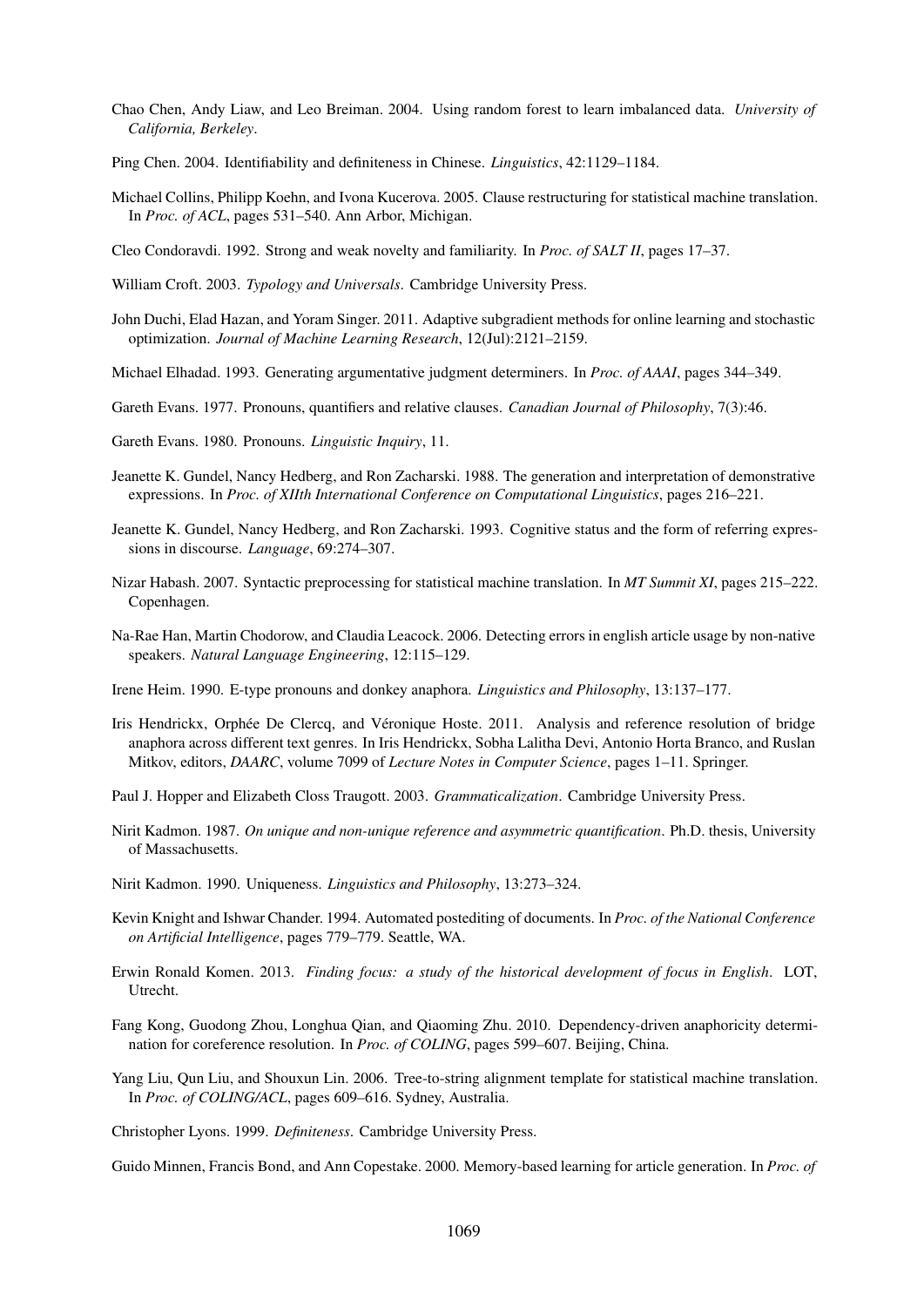- Chao Chen, Andy Liaw, and Leo Breiman. 2004. Using random forest to learn imbalanced data. *University of California, Berkeley*.
- Ping Chen. 2004. Identifiability and definiteness in Chinese. *Linguistics*, 42:1129–1184.
- Michael Collins, Philipp Koehn, and Ivona Kucerova. 2005. Clause restructuring for statistical machine translation. In *Proc. of ACL*, pages 531–540. Ann Arbor, Michigan.

Cleo Condoravdi. 1992. Strong and weak novelty and familiarity. In *Proc. of SALT II*, pages 17–37.

William Croft. 2003. *Typology and Universals*. Cambridge University Press.

John Duchi, Elad Hazan, and Yoram Singer. 2011. Adaptive subgradient methods for online learning and stochastic optimization. *Journal of Machine Learning Research*, 12(Jul):2121–2159.

Michael Elhadad. 1993. Generating argumentative judgment determiners. In *Proc. of AAAI*, pages 344–349.

- Gareth Evans. 1977. Pronouns, quantifiers and relative clauses. *Canadian Journal of Philosophy*, 7(3):46.
- Gareth Evans. 1980. Pronouns. *Linguistic Inquiry*, 11.
- Jeanette K. Gundel, Nancy Hedberg, and Ron Zacharski. 1988. The generation and interpretation of demonstrative expressions. In *Proc. of XIIth International Conference on Computational Linguistics*, pages 216–221.
- Jeanette K. Gundel, Nancy Hedberg, and Ron Zacharski. 1993. Cognitive status and the form of referring expressions in discourse. *Language*, 69:274–307.
- Nizar Habash. 2007. Syntactic preprocessing for statistical machine translation. In *MT Summit XI*, pages 215–222. Copenhagen.
- Na-Rae Han, Martin Chodorow, and Claudia Leacock. 2006. Detecting errors in english article usage by non-native speakers. *Natural Language Engineering*, 12:115–129.
- Irene Heim. 1990. E-type pronouns and donkey anaphora. *Linguistics and Philosophy*, 13:137–177.
- Iris Hendrickx, Orphée De Clercq, and Véronique Hoste. 2011. Analysis and reference resolution of bridge anaphora across different text genres. In Iris Hendrickx, Sobha Lalitha Devi, Antonio Horta Branco, and Ruslan Mitkov, editors, *DAARC*, volume 7099 of *Lecture Notes in Computer Science*, pages 1–11. Springer.
- Paul J. Hopper and Elizabeth Closs Traugott. 2003. *Grammaticalization*. Cambridge University Press.
- Nirit Kadmon. 1987. *On unique and non-unique reference and asymmetric quantification*. Ph.D. thesis, University of Massachusetts.
- Nirit Kadmon. 1990. Uniqueness. *Linguistics and Philosophy*, 13:273–324.
- Kevin Knight and Ishwar Chander. 1994. Automated postediting of documents. In *Proc. of the National Conference on Artificial Intelligence*, pages 779–779. Seattle, WA.
- Erwin Ronald Komen. 2013. *Finding focus: a study of the historical development of focus in English*. LOT, Utrecht.
- Fang Kong, Guodong Zhou, Longhua Qian, and Qiaoming Zhu. 2010. Dependency-driven anaphoricity determination for coreference resolution. In *Proc. of COLING*, pages 599–607. Beijing, China.
- Yang Liu, Qun Liu, and Shouxun Lin. 2006. Tree-to-string alignment template for statistical machine translation. In *Proc. of COLING/ACL*, pages 609–616. Sydney, Australia.

Christopher Lyons. 1999. *Definiteness*. Cambridge University Press.

Guido Minnen, Francis Bond, and Ann Copestake. 2000. Memory-based learning for article generation. In *Proc. of*